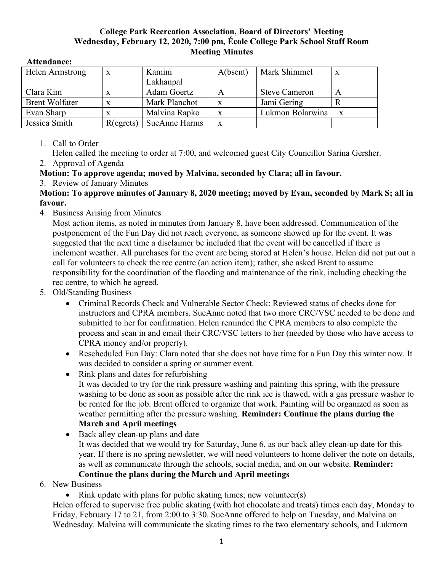## **College Park Recreation Association, Board of Directors' Meeting Wednesday, February 12, 2020, 7:00 pm, École College Park School Staff Room Meeting Minutes**

| Helen Armstrong       | $\boldsymbol{\mathrm{X}}$ | Kamini               | A(bsent) | Mark Shimmel         | X |
|-----------------------|---------------------------|----------------------|----------|----------------------|---|
|                       |                           | Lakhanpal            |          |                      |   |
| Clara Kim             | $\mathbf{x}$              | Adam Goertz          | А        | <b>Steve Cameron</b> | A |
| <b>Brent Wolfater</b> |                           | Mark Planchot        |          | Jami Gering          |   |
| Evan Sharp            |                           | Malvina Rapko        |          | Lukmon Bolarwina     | X |
| Jessica Smith         | R(egrets)                 | <b>SueAnne Harms</b> | X        |                      |   |

## **Attendance:**

## 1. Call to Order

Helen called the meeting to order at 7:00, and welcomed guest City Councillor Sarina Gersher.

2. Approval of Agenda

**Motion: To approve agenda; moved by Malvina, seconded by Clara; all in favour.**

3. Review of January Minutes

## **Motion: To approve minutes of January 8, 2020 meeting; moved by Evan, seconded by Mark S; all in favour.**

4. Business Arising from Minutes

Most action items, as noted in minutes from January 8, have been addressed. Communication of the postponement of the Fun Day did not reach everyone, as someone showed up for the event. It was suggested that the next time a disclaimer be included that the event will be cancelled if there is inclement weather. All purchases for the event are being stored at Helen's house. Helen did not put out a call for volunteers to check the rec centre (an action item); rather, she asked Brent to assume responsibility for the coordination of the flooding and maintenance of the rink, including checking the rec centre, to which he agreed.

- 5. Old/Standing Business
	- Criminal Records Check and Vulnerable Sector Check: Reviewed status of checks done for instructors and CPRA members. SueAnne noted that two more CRC/VSC needed to be done and submitted to her for confirmation. Helen reminded the CPRA members to also complete the process and scan in and email their CRC/VSC letters to her (needed by those who have access to CPRA money and/or property).
	- Rescheduled Fun Day: Clara noted that she does not have time for a Fun Day this winter now. It was decided to consider a spring or summer event.
	- Rink plans and dates for refurbishing

It was decided to try for the rink pressure washing and painting this spring, with the pressure washing to be done as soon as possible after the rink ice is thawed, with a gas pressure washer to be rented for the job. Brent offered to organize that work. Painting will be organized as soon as weather permitting after the pressure washing. **Reminder: Continue the plans during the March and April meetings**

- Back alley clean-up plans and date It was decided that we would try for Saturday, June 6, as our back alley clean-up date for this year. If there is no spring newsletter, we will need volunteers to home deliver the note on details, as well as communicate through the schools, social media, and on our website. **Reminder: Continue the plans during the March and April meetings**
- 6. New Business
	- Rink update with plans for public skating times; new volunteer(s)

Helen offered to supervise free public skating (with hot chocolate and treats) times each day, Monday to Friday, February 17 to 21, from 2:00 to 3:30. SueAnne offered to help on Tuesday, and Malvina on Wednesday. Malvina will communicate the skating times to the two elementary schools, and Lukmom